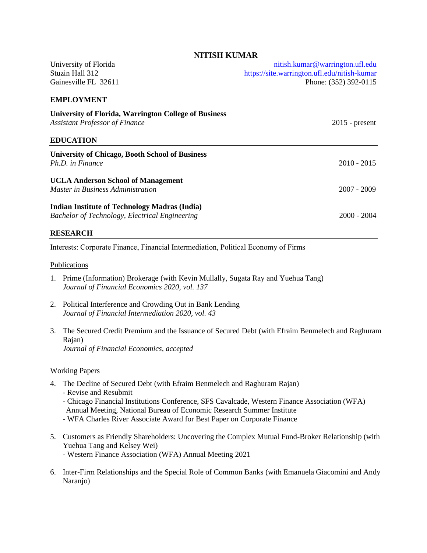# University of Florida Stuzin Hall 312 Gainesville FL 32611 [nitish.kumar@warrington.ufl.edu](mailto:nitish.kumar@warrington.ufl.edu) <https://site.warrington.ufl.edu/nitish-kumar> Phone: (352) 392-0115 **EMPLOYMENT University of Florida, Warrington College of Business** *Assistant Professor of Finance* 2015 - present **EDUCATION University of Chicago, Booth School of Business** *Ph.D. in Finance* 2010 - 2015 **UCLA Anderson School of Management** *Master in Business Administration* 2007 - 2009 **Indian Institute of Technology Madras (India)**

*Bachelor of Technology, Electrical Engineering* 2000 - 2004

### **RESEARCH**

Interests: Corporate Finance, Financial Intermediation, Political Economy of Firms

#### Publications

- 1. Prime (Information) Brokerage (with Kevin Mullally, Sugata Ray and Yuehua Tang) *Journal of Financial Economics 2020, vol. 137*
- 2. Political Interference and Crowding Out in Bank Lending *Journal of Financial Intermediation 2020, vol. 43*
- 3. The Secured Credit Premium and the Issuance of Secured Debt (with Efraim Benmelech and Raghuram Rajan) *Journal of Financial Economics, accepted*

#### Working Papers

- 4. The Decline of Secured Debt (with Efraim Benmelech and Raghuram Rajan)
	- Revise and Resubmit
	- Chicago Financial Institutions Conference, SFS Cavalcade, Western Finance Association (WFA) Annual Meeting, National Bureau of Economic Research Summer Institute
	- WFA Charles River Associate Award for Best Paper on Corporate Finance
- 5. Customers as Friendly Shareholders: Uncovering the Complex Mutual Fund-Broker Relationship (with Yuehua Tang and Kelsey Wei) - Western Finance Association (WFA) Annual Meeting 2021
- 6. Inter-Firm Relationships and the Special Role of Common Banks (with Emanuela Giacomini and Andy Naranjo)

### **NITISH KUMAR**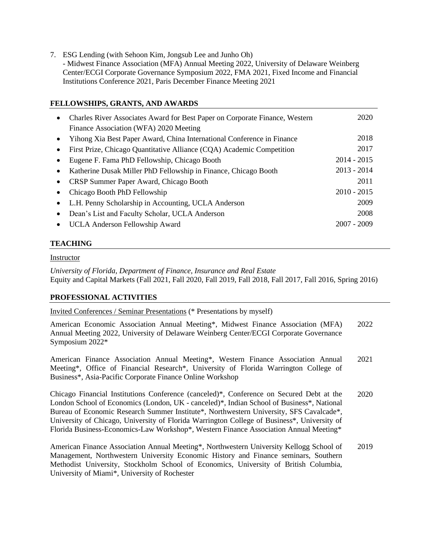7. ESG Lending (with Sehoon Kim, Jongsub Lee and Junho Oh) - Midwest Finance Association (MFA) Annual Meeting 2022, University of Delaware Weinberg Center/ECGI Corporate Governance Symposium 2022, FMA 2021, Fixed Income and Financial Institutions Conference 2021, Paris December Finance Meeting 2021

## **FELLOWSHIPS, GRANTS, AND AWARDS**

| $\bullet$ | Charles River Associates Award for Best Paper on Corporate Finance, Western<br>Finance Association (WFA) 2020 Meeting | 2020          |
|-----------|-----------------------------------------------------------------------------------------------------------------------|---------------|
|           | Yihong Xia Best Paper Award, China International Conference in Finance                                                | 2018          |
| $\bullet$ | First Prize, Chicago Quantitative Alliance (CQA) Academic Competition                                                 | 2017          |
|           | Eugene F. Fama PhD Fellowship, Chicago Booth                                                                          | $2014 - 2015$ |
| $\bullet$ | Katherine Dusak Miller PhD Fellowship in Finance, Chicago Booth                                                       | $2013 - 2014$ |
|           | CRSP Summer Paper Award, Chicago Booth                                                                                | 2011          |
|           | Chicago Booth PhD Fellowship                                                                                          | $2010 - 2015$ |
| $\bullet$ | L.H. Penny Scholarship in Accounting, UCLA Anderson                                                                   | 2009          |
|           | Dean's List and Faculty Scholar, UCLA Anderson                                                                        | 2008          |
| $\bullet$ | UCLA Anderson Fellowship Award                                                                                        | $2007 - 2009$ |

# **TEACHING**

#### Instructor

*University of Florida, Department of Finance, Insurance and Real Estate* Equity and Capital Markets (Fall 2021, Fall 2020, Fall 2019, Fall 2018, Fall 2017, Fall 2016, Spring 2016)

### **PROFESSIONAL ACTIVITIES**

Invited Conferences / Seminar Presentations (\* Presentations by myself)

American Economic Association Annual Meeting\*, Midwest Finance Association (MFA) Annual Meeting 2022, University of Delaware Weinberg Center/ECGI Corporate Governance Symposium 2022\* 2022

American Finance Association Annual Meeting\*, Western Finance Association Annual Meeting\*, Office of Financial Research\*, University of Florida Warrington College of Business\*, Asia-Pacific Corporate Finance Online Workshop 2021

Chicago Financial Institutions Conference (canceled)\*, Conference on Secured Debt at the London School of Economics (London, UK - canceled)\*, Indian School of Business\*, National Bureau of Economic Research Summer Institute\*, Northwestern University, SFS Cavalcade\*, University of Chicago, University of Florida Warrington College of Business\*, University of Florida Business-Economics-Law Workshop\*, Western Finance Association Annual Meeting\* 2020

American Finance Association Annual Meeting\*, Northwestern University Kellogg School of Management, Northwestern University Economic History and Finance seminars, Southern Methodist University, Stockholm School of Economics, University of British Columbia, University of Miami\*, University of Rochester 2019